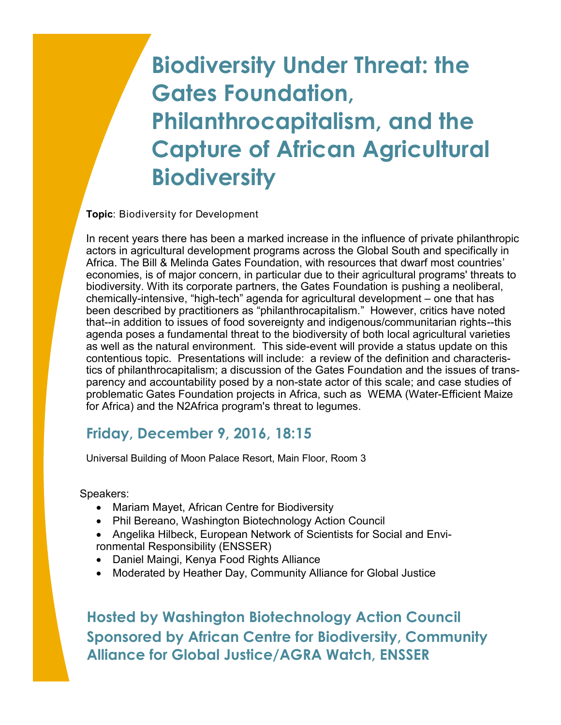## **Biodiversity Under Threat: the Gates Foundation, Philanthrocapitalism, and the Capture of African Agricultural Biodiversity**

**Topic**: Biodiversity for Development

In recent years there has been a marked increase in the influence of private philanthropic actors in agricultural development programs across the Global South and specifically in Africa. The Bill & Melinda Gates Foundation, with resources that dwarf most countries' economies, is of major concern, in particular due to their agricultural programs' threats to biodiversity. With its corporate partners, the Gates Foundation is pushing a neoliberal, chemically-intensive, "high-tech" agenda for agricultural development – one that has been described by practitioners as "philanthrocapitalism." However, critics have noted that--in addition to issues of food sovereignty and indigenous/communitarian rights--this agenda poses a fundamental threat to the biodiversity of both local agricultural varieties as well as the natural environment. This side-event will provide a status update on this contentious topic. Presentations will include: a review of the definition and characteristics of philanthrocapitalism; a discussion of the Gates Foundation and the issues of transparency and accountability posed by a non-state actor of this scale; and case studies of problematic Gates Foundation projects in Africa, such as WEMA (Water-Efficient Maize for Africa) and the N2Africa program's threat to legumes.

## **Friday, December 9, 2016, 18:15**

Universal Building of Moon Palace Resort, Main Floor, Room 3

Speakers:

- Mariam Mayet, African Centre for Biodiversity
- Phil Bereano, Washington Biotechnology Action Council
- Angelika Hilbeck, European Network of Scientists for Social and Environmental Responsibility (ENSSER)
- Daniel Maingi, Kenya Food Rights Alliance
- Moderated by Heather Day, Community Alliance for Global Justice

**Hosted by Washington Biotechnology Action Council Sponsored by African Centre for Biodiversity, Community Alliance for Global Justice/AGRA Watch, ENSSER**